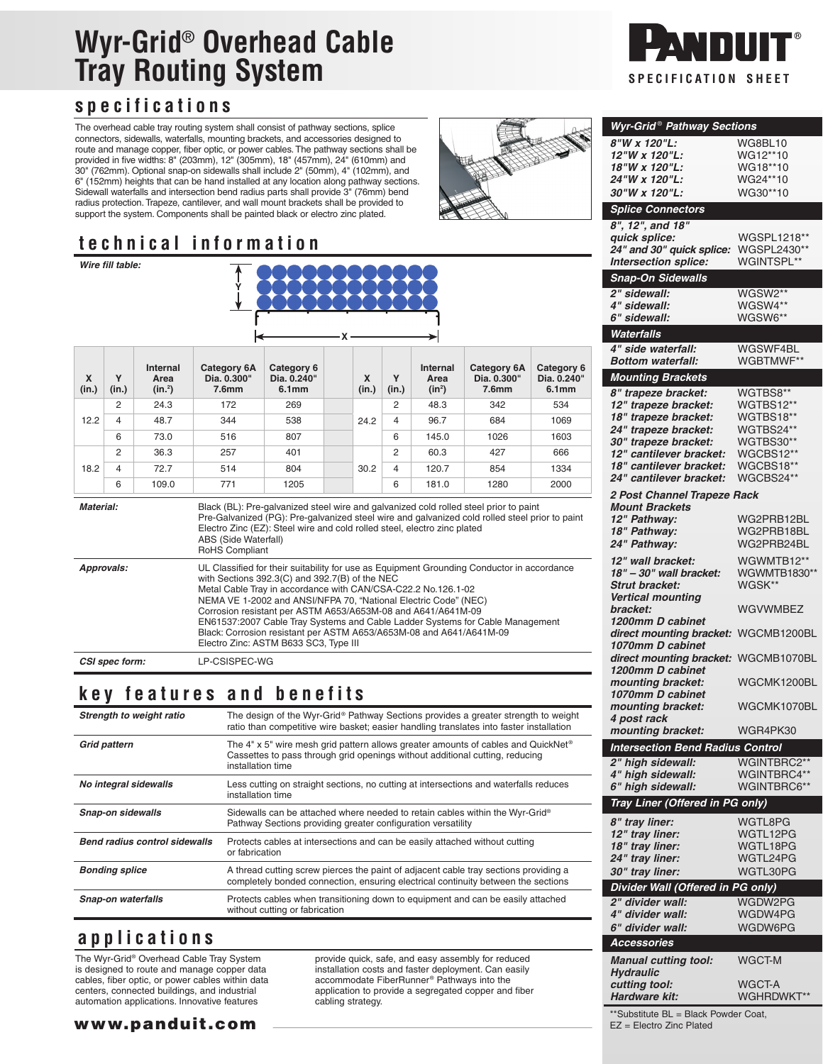# **Wyr-Grid**® **Overhead Cable Tray Routing System SPECIFICATION** SPECIFICATION SHEET

# **specifications**

The overhead cable tray routing system shall consist of pathway sections, splice connectors, sidewalls, waterfalls, mounting brackets, and accessories designed to route and manage copper, fiber optic, or power cables. The pathway sections shall be provided in five widths: 8" (203mm), 12" (305mm), 18" (457mm), 24" (610mm) and 30" (762mm). Optional snap-on sidewalls shall include 2" (50mm), 4" (102mm), and 6" (152mm) heights that can be hand installed at any location along pathway sections. Sidewall waterfalls and intersection bend radius parts shall provide 3" (76mm) bend radius protection. Trapeze, cantilever, and wall mount brackets shall be provided to support the system. Components shall be painted black or electro zinc plated.

# **technical information**

| Wire fill table: |                |                               |                                                                                                                                                                                                                                                                                                                                                                                                                                                                                                                                                   |                                                |  |            |            |                              |                                                        |                                                |
|------------------|----------------|-------------------------------|---------------------------------------------------------------------------------------------------------------------------------------------------------------------------------------------------------------------------------------------------------------------------------------------------------------------------------------------------------------------------------------------------------------------------------------------------------------------------------------------------------------------------------------------------|------------------------------------------------|--|------------|------------|------------------------------|--------------------------------------------------------|------------------------------------------------|
| X<br>(in.)       | Y<br>(in.)     | Internal<br>Area<br>$(in.^2)$ | Category 6A<br>Dia. 0.300"<br>7.6 <sub>mm</sub>                                                                                                                                                                                                                                                                                                                                                                                                                                                                                                   | Category 6<br>Dia. 0.240"<br>6.1 <sub>mm</sub> |  | X<br>(in.) | Y<br>(in.) | Internal<br>Area<br>$(in^2)$ | <b>Category 6A</b><br>Dia. 0.300"<br>7.6 <sub>mm</sub> | Category 6<br>Dia. 0.240"<br>6.1 <sub>mm</sub> |
| 12.2             | 2              | 24.3                          | 172                                                                                                                                                                                                                                                                                                                                                                                                                                                                                                                                               | 269                                            |  | 24.2       | 2          | 48.3                         | 342                                                    | 534                                            |
|                  | 4              | 48.7                          | 344                                                                                                                                                                                                                                                                                                                                                                                                                                                                                                                                               | 538                                            |  |            | 4          | 96.7                         | 684                                                    | 1069                                           |
|                  | 6              | 73.0                          | 516                                                                                                                                                                                                                                                                                                                                                                                                                                                                                                                                               | 807                                            |  |            | 6          | 145.0                        | 1026                                                   | 1603                                           |
|                  | $\overline{2}$ | 36.3                          | 257                                                                                                                                                                                                                                                                                                                                                                                                                                                                                                                                               | 401                                            |  | 30.2       | 2          | 60.3                         | 427                                                    | 666                                            |
| 18.2             | 4              | 72.7                          | 514                                                                                                                                                                                                                                                                                                                                                                                                                                                                                                                                               | 804                                            |  |            | 4          | 120.7                        | 854                                                    | 1334                                           |
|                  | 6              | 109.0                         | 771                                                                                                                                                                                                                                                                                                                                                                                                                                                                                                                                               | 1205                                           |  |            | 6          | 181.0                        | 1280                                                   | 2000                                           |
| Material:        |                |                               | Black (BL): Pre-galvanized steel wire and galvanized cold rolled steel prior to paint<br>Pre-Galvanized (PG): Pre-galvanized steel wire and galvanized cold rolled steel prior to paint<br>Electro Zinc (EZ): Steel wire and cold rolled steel, electro zinc plated<br>ABS (Side Waterfall)<br>RoHS Compliant                                                                                                                                                                                                                                     |                                                |  |            |            |                              |                                                        |                                                |
| Approvals:       |                |                               | UL Classified for their suitability for use as Equipment Grounding Conductor in accordance<br>with Sections 392.3(C) and 392.7(B) of the NEC<br>Metal Cable Tray in accordance with CAN/CSA-C22.2 No.126.1-02<br>NEMA VE 1-2002 and ANSI/NFPA 70, "National Electric Code" (NEC)<br>Corrosion resistant per ASTM A653/A653M-08 and A641/A641M-09<br>EN61537:2007 Cable Tray Systems and Cable Ladder Systems for Cable Management<br>Black: Corrosion resistant per ASTM A653/A653M-08 and A641/A641M-09<br>Electro Zinc: ASTM B633 SC3, Type III |                                                |  |            |            |                              |                                                        |                                                |
| CSI spec form:   |                |                               | LP-CSISPEC-WG                                                                                                                                                                                                                                                                                                                                                                                                                                                                                                                                     |                                                |  |            |            |                              |                                                        |                                                |

# **key features and benefits**

| Strength to weight ratio             | The design of the Wyr-Grid® Pathway Sections provides a greater strength to weight<br>ratio than competitive wire basket; easier handling translates into faster installation          |  |  |  |  |
|--------------------------------------|----------------------------------------------------------------------------------------------------------------------------------------------------------------------------------------|--|--|--|--|
| <b>Grid pattern</b>                  | The 4" x 5" wire mesh grid pattern allows greater amounts of cables and QuickNet®<br>Cassettes to pass through grid openings without additional cutting, reducing<br>installation time |  |  |  |  |
| No integral sidewalls                | Less cutting on straight sections, no cutting at intersections and waterfalls reduces<br>installation time                                                                             |  |  |  |  |
| <b>Snap-on sidewalls</b>             | Sidewalls can be attached where needed to retain cables within the Wyr-Grid®<br>Pathway Sections providing greater configuration versatility                                           |  |  |  |  |
| <b>Bend radius control sidewalls</b> | Protects cables at intersections and can be easily attached without cutting<br>or fabrication                                                                                          |  |  |  |  |
| <b>Bonding splice</b>                | A thread cutting screw pierces the paint of adjacent cable tray sections providing a<br>completely bonded connection, ensuring electrical continuity between the sections              |  |  |  |  |
| <b>Snap-on waterfalls</b>            | Protects cables when transitioning down to equipment and can be easily attached<br>without cutting or fabrication                                                                      |  |  |  |  |

# **applications**

The Wyr-Grid® Overhead Cable Tray System is designed to route and manage copper data cables, fiber optic, or power cables within data centers, connected buildings, and industrial automation applications. Innovative features

provide quick, safe, and easy assembly for reduced installation costs and faster deployment. Can easily accommodate FiberRunner® Pathways into the application to provide a segregated copper and fiber cabling strategy.



| Wyr-Grid® Pathway Sections                               |                        |
|----------------------------------------------------------|------------------------|
| 8"W x 120"L:                                             | WG8BL10                |
| 12"W x 120"L:                                            | WG12**10               |
| 18"W x 120"L:                                            | WG18**10               |
| 24"W x 120"L:                                            | WG24**10               |
| <i><b>30"W x 120"L:</b></i>                              | WG30**10               |
| <b>Splice Connectors</b>                                 |                        |
| 8", 12", and 18"                                         |                        |
| quick splice:                                            | WGSPL1218**            |
| 24" and 30" quick splice:                                | WGSPL2430**            |
| Intersection splice:                                     | WGINTSPL**             |
| Snap-On Sidewalls                                        |                        |
| 2" sidewall:                                             | WGSW2**                |
| 4" sidewall:<br>6" sidewall:                             | WGSW4**<br>WGSW6**     |
| Waterfalls                                               |                        |
| 4" side waterfall:                                       | WGSWF4BL               |
| Bottom waterfall:                                        | WGBTMWF**              |
| <b>Mounting Brackets</b>                                 |                        |
| 8" trapeze bracket:                                      | WGTBS8**               |
| 12" trapeze bracket:                                     | WGTBS12**              |
| 18" trapeze bracket:                                     | WGTBS18**              |
| 24" trapeze bracket:                                     | WGTBS24**              |
| 30" trapeze bracket:                                     | WGTBS30**              |
| 12" cantilever bracket:<br>18" cantilever bracket:       | WGCBS12**<br>WGCBS18** |
| 24" cantilever bracket:                                  | WGCBS24**              |
| 2 Post Channel Trapeze Rack                              |                        |
| <b>Mount Brackets</b>                                    |                        |
| 12" Pathway:                                             | WG2PRB12BL             |
| 18" Pathway:                                             | WG2PRB18BL             |
| 24" Pathway:                                             | WG2PRB24BL             |
| 12" wall bracket:                                        | WGWMTB12**             |
| 18" - 30" wall bracket:                                  | WGWMTB1830**<br>WGSK** |
| <b>Strut bracket:</b><br>Vertical mounting               |                        |
| bracket:                                                 | WGVWMBEZ               |
| 1200mm D cabinet                                         |                        |
| direct mounting bracket: WGCMB1200BL                     |                        |
| 1070mm D cabinet<br>direct mounting bracket: WGCMB1070BL |                        |
| 1200mm D cabinet                                         |                        |
| mounting bracket:                                        | WGCMK1200BL            |
| 1070mm D cabinet                                         |                        |
| mounting bracket:                                        | WGCMK1070BL            |
| 4 post rack<br>mounting bracket:                         | WGR4PK30               |
| <b>Intersection Bend Radius Control</b>                  |                        |
| 2" high sidewall:                                        | WGINTBRC2**            |
| 4" high sidewall:                                        | WGINTBRC4**            |
| 6" high sidewall:                                        | WGINTBRC6**            |
| Tray Liner (Offered in PG only)                          |                        |
| 8" tray liner:                                           | WGTL8PG                |
| 12" tray liner:                                          | WGTL12PG               |
| 18" tray liner:                                          | WGTL18PG               |
| 24" tray liner:                                          | WGTL24PG               |
| 30" tray liner:                                          | WGTL30PG               |
| Divider Wall (Offered in PG only)                        |                        |
| 2" divider wall:                                         | WGDW2PG                |
| 4" divider wall:<br>6" divider wall:                     | WGDW4PG<br>WGDW6PG     |
| <b>Accessories</b>                                       |                        |
|                                                          |                        |
| <b>Manual cutting tool:</b>                              | WGCT-M                 |
| <b>Hydraulic</b><br>cutting tool:                        | WGCT-A                 |
| Hardware kit:                                            | WGHRDWKT**             |
|                                                          |                        |

www.panduit.com

\*\*Substitute BL = Black Powder Coat, EZ = Electro Zinc Plated